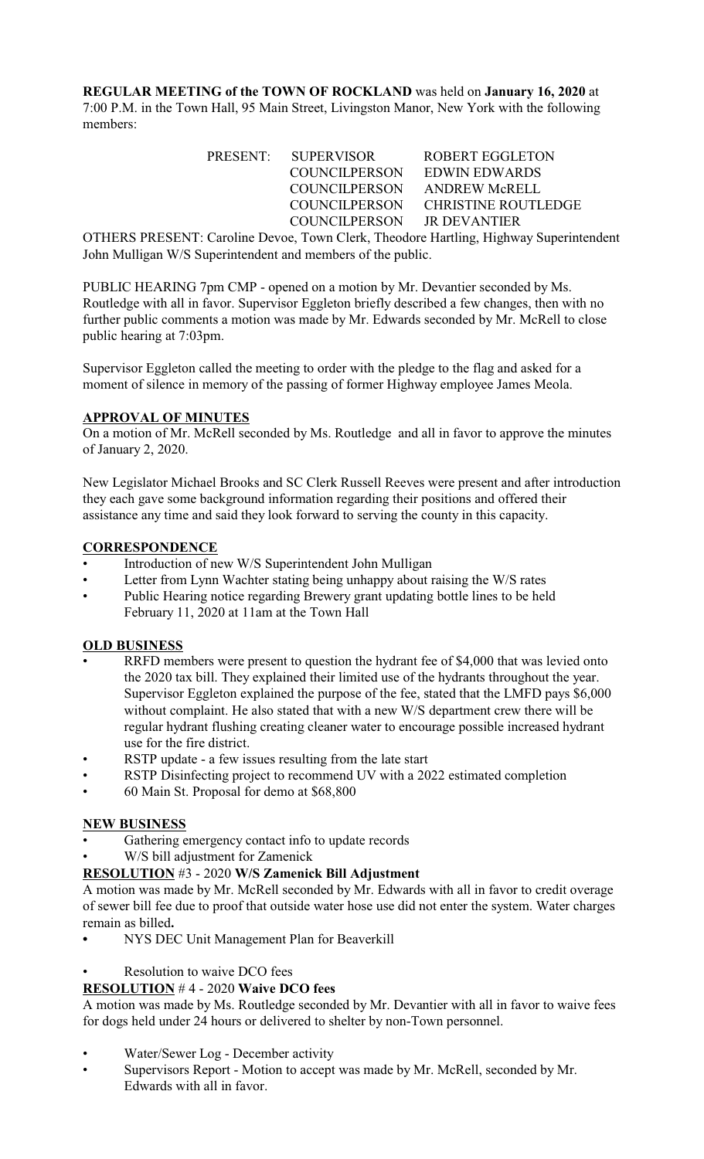**REGULAR MEETING of the TOWN OF ROCKLAND** was held on **January 16, 2020** at 7:00 P.M. in the Town Hall, 95 Main Street, Livingston Manor, New York with the following members:

| PRESENT: SUPERVISOR        | ROBERT EGGLETON                   |
|----------------------------|-----------------------------------|
| COUNCILPERSON              | EDWIN EDWARDS                     |
| <b>COUNCILPERSON</b>       | ANDREW McRELL                     |
|                            | COUNCILPERSON CHRISTINE ROUTLEDGE |
| COUNCILPERSON JR DEVANTIER |                                   |

OTHERS PRESENT: Caroline Devoe, Town Clerk, Theodore Hartling, Highway Superintendent John Mulligan W/S Superintendent and members of the public.

PUBLIC HEARING 7pm CMP - opened on a motion by Mr. Devantier seconded by Ms. Routledge with all in favor. Supervisor Eggleton briefly described a few changes, then with no further public comments a motion was made by Mr. Edwards seconded by Mr. McRell to close public hearing at 7:03pm.

Supervisor Eggleton called the meeting to order with the pledge to the flag and asked for a moment of silence in memory of the passing of former Highway employee James Meola.

### **APPROVAL OF MINUTES**

On a motion of Mr. McRell seconded by Ms. Routledge and all in favor to approve the minutes of January 2, 2020.

New Legislator Michael Brooks and SC Clerk Russell Reeves were present and after introduction they each gave some background information regarding their positions and offered their assistance any time and said they look forward to serving the county in this capacity.

# **CORRESPONDENCE**

- Introduction of new W/S Superintendent John Mulligan
- Letter from Lynn Wachter stating being unhappy about raising the W/S rates
- Public Hearing notice regarding Brewery grant updating bottle lines to be held February 11, 2020 at 11am at the Town Hall

### **OLD BUSINESS**

- RRFD members were present to question the hydrant fee of \$4,000 that was levied onto the 2020 tax bill. They explained their limited use of the hydrants throughout the year. Supervisor Eggleton explained the purpose of the fee, stated that the LMFD pays \$6,000 without complaint. He also stated that with a new W/S department crew there will be regular hydrant flushing creating cleaner water to encourage possible increased hydrant use for the fire district.
- RSTP update a few issues resulting from the late start
- RSTP Disinfecting project to recommend UV with a 2022 estimated completion
- 60 Main St. Proposal for demo at \$68,800

### **NEW BUSINESS**

- Gathering emergency contact info to update records
- W/S bill adjustment for Zamenick

### **RESOLUTION** #3 - 2020 **W/S Zamenick Bill Adjustment**

A motion was made by Mr. McRell seconded by Mr. Edwards with all in favor to credit overage of sewer bill fee due to proof that outside water hose use did not enter the system. Water charges remain as billed**.**

- **•** NYS DEC Unit Management Plan for Beaverkill
- Resolution to waive DCO fees

### **RESOLUTION** # 4 - 2020 **Waive DCO fees**

A motion was made by Ms. Routledge seconded by Mr. Devantier with all in favor to waive fees for dogs held under 24 hours or delivered to shelter by non-Town personnel.

- Water/Sewer Log December activity
- Supervisors Report Motion to accept was made by Mr. McRell, seconded by Mr. Edwards with all in favor.